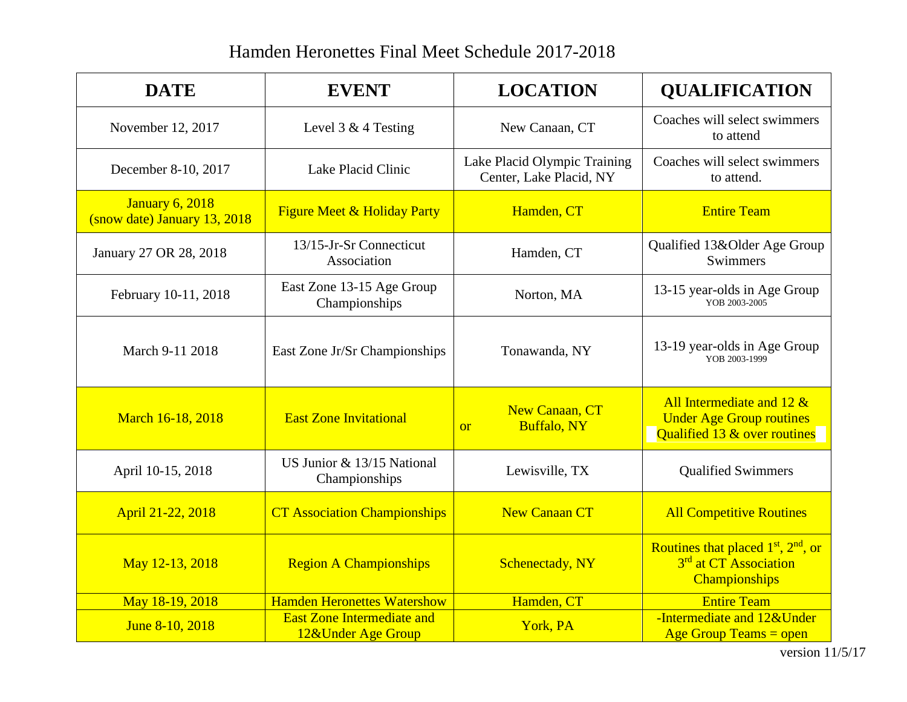## Hamden Heronettes Final Meet Schedule 2017-2018

| <b>DATE</b>                                            | <b>EVENT</b>                                            | <b>LOCATION</b>                                          | <b>QUALIFICATION</b>                                                                            |
|--------------------------------------------------------|---------------------------------------------------------|----------------------------------------------------------|-------------------------------------------------------------------------------------------------|
| November 12, 2017                                      | Level 3 & 4 Testing                                     | New Canaan, CT                                           | Coaches will select swimmers<br>to attend                                                       |
| December 8-10, 2017                                    | Lake Placid Clinic                                      | Lake Placid Olympic Training<br>Center, Lake Placid, NY  | Coaches will select swimmers<br>to attend.                                                      |
| <b>January 6, 2018</b><br>(snow date) January 13, 2018 | <b>Figure Meet &amp; Holiday Party</b>                  | Hamden, CT                                               | <b>Entire Team</b>                                                                              |
| January 27 OR 28, 2018                                 | 13/15-Jr-Sr Connecticut<br>Association                  | Hamden, CT                                               | Qualified 13&Older Age Group<br>Swimmers                                                        |
| February 10-11, 2018                                   | East Zone 13-15 Age Group<br>Championships              | Norton, MA                                               | 13-15 year-olds in Age Group<br>YOB 2003-2005                                                   |
| March 9-11 2018                                        | East Zone Jr/Sr Championships                           | Tonawanda, NY                                            | 13-19 year-olds in Age Group<br>YOB 2003-1999                                                   |
| March 16-18, 2018                                      | <b>East Zone Invitational</b>                           | <b>New Canaan, CT</b><br><b>Buffalo, NY</b><br><b>or</b> | All Intermediate and $12 \&$<br><b>Under Age Group routines</b><br>Qualified 13 & over routines |
| April 10-15, 2018                                      | US Junior & 13/15 National<br>Championships             | Lewisville, TX                                           | <b>Qualified Swimmers</b>                                                                       |
| April 21-22, 2018                                      | <b>CT Association Championships</b>                     | <b>New Canaan CT</b>                                     | <b>All Competitive Routines</b>                                                                 |
| May 12-13, 2018                                        | <b>Region A Championships</b>                           | <b>Schenectady</b> , NY                                  | Routines that placed $1st$ , $2nd$ , or<br>3 <sup>rd</sup> at CT Association<br>Championships   |
| May 18-19, 2018                                        | <b>Hamden Heronettes Watershow</b>                      | Hamden, CT                                               | <b>Entire Team</b>                                                                              |
| June 8-10, 2018                                        | <b>East Zone Intermediate and</b><br>12&Under Age Group | York, PA                                                 | -Intermediate and 12&Under<br><b>Age Group Teams = open</b>                                     |